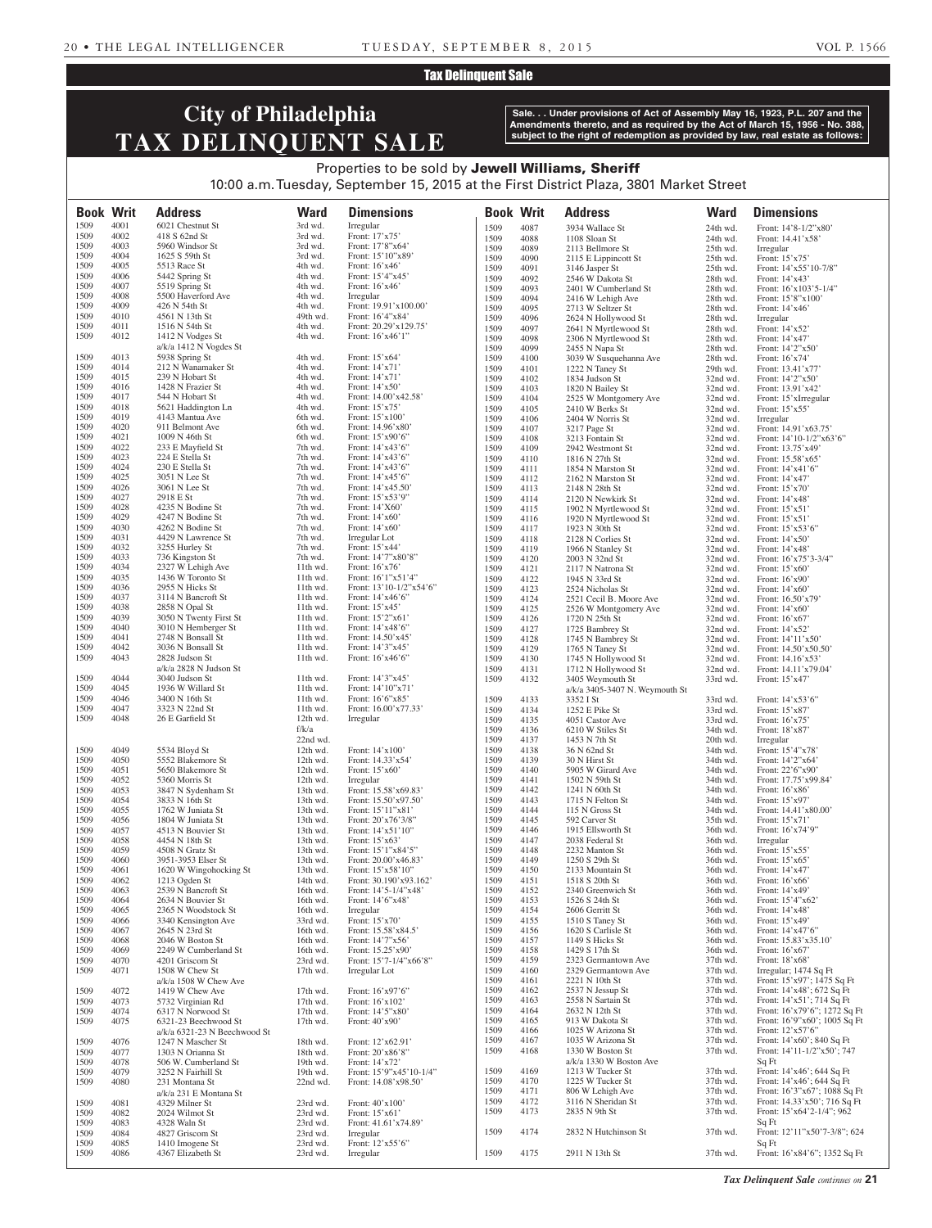### Tax Delinquent Sale

# **City of Philadelphia TAX DELINQUENT SALE**

**Sale. . . Under provisions of Act of Assembly May 16, 1923, P.L. 207 and the Amendments thereto, and as required by the Act of March 15, 1956 - No. 388, subject to the right of redemption as provided by law, real estate as follows:**

### Properties to be sold by Jewell Williams, Sheriff 10:00 a.m. Tuesday, September 15, 2015 at the First District Plaza, 3801 Market Street

| <b>Book Writ</b> |              | <b>Address</b>                               | <b>Ward</b>          | <b>Dimensions</b>                           | <b>Book Writ</b> |              | <b>Address</b>                             | <b>Ward</b>          | <b>Dimensions</b>                                               |
|------------------|--------------|----------------------------------------------|----------------------|---------------------------------------------|------------------|--------------|--------------------------------------------|----------------------|-----------------------------------------------------------------|
| 1509<br>1509     | 4001<br>4002 | 6021 Chestnut St<br>418 S 62nd St            | 3rd wd.<br>3rd wd.   | Irregular<br>Front: 17'x75'                 | 1509             | 4087         | 3934 Wallace St                            | 24th wd.             | Front: 14'8-1/2"x80'                                            |
| 1509             | 4003         | 5960 Windsor St                              | 3rd wd.              | Front: 17'8"x64'                            | 1509<br>1509     | 4088         | 1108 Sloan St                              | 24th wd.             | Front: 14.41'x58'                                               |
| 1509             | 4004         | 1625 S 59th St                               | 3rd wd.              | Front: 15'10"x89'                           | 1509             | 4089<br>4090 | 2113 Bellmore St<br>2115 E Lippincott St   | 25th wd.<br>25th wd. | Irregular<br>Front: $15'x75'$                                   |
| 1509             | 4005         | 5513 Race St                                 | 4th wd.              | Front: $16'x46'$                            | 1509             | 4091         | 3146 Jasper St                             | 25th wd.             | Front: 14'x55'10-7/8"                                           |
| 1509             | 4006         | 5442 Spring St                               | 4th wd.              | Front: 15'4"x45'                            | 1509             | 4092         | 2546 W Dakota St                           | 28th wd.             | Front: $14'x43'$                                                |
| 1509<br>1509     | 4007<br>4008 | 5519 Spring St<br>5500 Haverford Ave         | 4th wd.<br>4th wd.   | Front: $16'x46'$<br>Irregular               | 1509             | 4093         | 2401 W Cumberland St                       | 28th wd.             | Front: $16'x103'5-1/4"$                                         |
| 1509             | 4009         | 426 N 54th St                                | 4th wd.              | Front: 19.91'x100.00'                       | 1509<br>1509     | 4094<br>4095 | 2416 W Lehigh Ave<br>2713 W Seltzer St     | 28th wd.<br>28th wd. | Front: 15'8"x100'<br>Front: 14'x46'                             |
| 1509             | 4010         | 4561 N 13th St                               | 49th wd.             | Front: 16'4"x84'                            | 1509             | 4096         | 2624 N Hollywood St                        | 28th wd.             | Irregular                                                       |
| 1509             | 4011         | 1516 N 54th St                               | 4th wd.              | Front: 20.29'x129.75'                       | 1509             | 4097         | 2641 N Myrtlewood St                       | 28th wd.             | Front: 14'x52'                                                  |
| 1509             | 4012         | 1412 N Vodges St<br>$a/k/a$ 1412 N Vogdes St | 4th wd.              | Front: 16'x46'1"                            | 1509             | 4098         | 2306 N Myrtlewood St                       | 28th wd.             | Front: $14'x47'$                                                |
| 1509             | 4013         | 5938 Spring St                               | 4th wd.              | Front: 15'x64'                              | 1509<br>1509     | 4099<br>4100 | 2455 N Napa St<br>3039 W Susquehanna Ave   | 28th wd.<br>28th wd. | Front: $14'2''x50'$<br>Front: $16'x74'$                         |
| 1509             | 4014         | 212 N Wanamaker St                           | 4th wd.              | Front: 14'x71'                              | 1509             | 4101         | 1222 N Taney St                            | 29th wd.             | Front: 13.41'x77'                                               |
| 1509             | 4015         | 239 N Hobart St                              | 4th wd.              | Front: 14'x71'                              | 1509             | 4102         | 1834 Judson St                             | 32nd wd.             | Front: 14'2"x50"                                                |
| 1509<br>1509     | 4016<br>4017 | 1428 N Frazier St<br>544 N Hobart St         | 4th wd.<br>4th wd.   | Front: $14'x50'$<br>Front: 14.00'x42.58'    | 1509             | 4103         | 1820 N Bailey St                           | 32nd wd.             | Front: 13.91'x42'                                               |
| 1509             | 4018         | 5621 Haddington Ln                           | 4th wd.              | Front: 15'x75'                              | 1509<br>1509     | 4104<br>4105 | 2525 W Montgomery Ave<br>2410 W Berks St   | 32nd wd.<br>32nd wd. | Front: 15'xIrregular<br>Front: 15'x55'                          |
| 1509             | 4019         | 4143 Mantua Ave                              | 6th wd.              | Front: 15'x100'                             | 1509             | 4106         | 2404 W Norris St                           | 32nd wd.             | Irregular                                                       |
| 1509             | 4020         | 911 Belmont Ave                              | 6th wd.              | Front: 14.96'x80'                           | 1509             | 4107         | 3217 Page St                               | 32nd wd.             | Front: 14.91'x63.75'                                            |
| 1509<br>1509     | 4021<br>4022 | 1009 N 46th St<br>233 E Mayfield St          | 6th wd.<br>7th wd.   | Front: 15'x90'6"<br>Front: 14'x43'6"        | 1509             | 4108         | 3213 Fontain St                            | 32nd wd.             | Front: 14'10-1/2"x63'6"                                         |
| 1509             | 4023         | 224 E Stella St                              | 7th wd.              | Front: 14'x43'6"                            | 1509<br>1509     | 4109<br>4110 | 2942 Westmont St<br>1816 N 27th St         | 32nd wd.<br>32nd wd. | Front: 13.75'x49'<br>Front: 15.58'x65'                          |
| 1509             | 4024         | 230 E Stella St                              | 7th wd.              | Front: 14'x43'6"                            | 1509             | 4111         | 1854 N Marston St                          | 32nd wd.             | Front: 14'x41'6"                                                |
| 1509             | 4025         | 3051 N Lee St                                | 7th wd.              | Front: 14'x45'6"                            | 1509             | 4112         | 2162 N Marston St                          | 32nd wd.             | Front: 14'x47'                                                  |
| 1509<br>1509     | 4026<br>4027 | 3061 N Lee St<br>2918 E St                   | 7th wd.              | Front: 14'x45.50'                           | 1509             | 4113         | 2148 N 28th St                             | 32nd wd.             | Front: 15'x70'                                                  |
| 1509             | 4028         | 4235 N Bodine St                             | 7th wd.<br>7th wd.   | Front: 15'x53'9"<br>Front: 14'X60'          | 1509<br>1509     | 4114<br>4115 | 2120 N Newkirk St<br>1902 N Myrtlewood St  | 32nd wd.<br>32nd wd. | Front: 14'x48'<br>Front: $15'x51'$                              |
| 1509             | 4029         | 4247 N Bodine St                             | 7th wd.              | Front: $14'x60'$                            | 1509             | 4116         | 1920 N Myrtlewood St                       | 32nd wd.             | Front: $15'x51'$                                                |
| 1509             | 4030         | 4262 N Bodine St                             | 7th wd.              | Front: $14'x60'$                            | 1509             | 4117         | 1923 N 30th St                             | 32nd wd.             | Front: $15'x53'6"$                                              |
| 1509             | 4031         | 4429 N Lawrence St                           | 7th wd.              | Irregular Lot                               | 1509             | 4118         | 2128 N Corlies St                          | 32nd wd.             | Front: $14'x50'$                                                |
| 1509<br>1509     | 4032<br>4033 | 3255 Hurley St<br>736 Kingston St            | 7th wd.<br>7th wd.   | Front: 15'x44'<br>Front: 14'7"x80'8"        | 1509<br>1509     | 4119<br>4120 | 1966 N Stanley St                          | 32nd wd.<br>32nd wd. | Front: $14'x48'$                                                |
| 1509             | 4034         | 2327 W Lehigh Ave                            | 11th wd.             | Front: 16'x76'                              | 1509             | 4121         | 2003 N 32nd St<br>2117 N Natrona St        | 32nd wd.             | Front: 16'x75'3-3/4"<br>Front: $15'x60'$                        |
| 1509             | 4035         | 1436 W Toronto St                            | 11th wd.             | Front: 16'1"x51'4"                          | 1509             | 4122         | 1945 N 33rd St                             | 32nd wd.             | Front: $16'x90'$                                                |
| 1509             | 4036         | 2955 N Hicks St                              | 11th wd.             | Front: $13'10-1/2"x54'6"$                   | 1509             | 4123         | 2524 Nicholas St                           | 32nd wd.             | Front: $14'x60'$                                                |
| 1509<br>1509     | 4037<br>4038 | 3114 N Bancroft St<br>2858 N Opal St         | 11th wd.<br>11th wd. | Front: 14'x46'6"<br>Front: 15'x45'          | 1509             | 4124         | 2521 Cecil B. Moore Ave                    | 32nd wd.             | Front: $16.50'x79'$                                             |
| 1509             | 4039         | 3050 N Twenty First St                       | 11th wd.             | Front: 15'2"x61'                            | 1509<br>1509     | 4125<br>4126 | 2526 W Montgomery Ave<br>1720 N 25th St    | 32nd wd.<br>32nd wd. | Front: $14'x60'$<br>Front: $16'x67'$                            |
| 1509             | 4040         | 3010 N Hemberger St                          | 11th wd.             | Front: 14'x48'6"                            | 1509             | 4127         | 1725 Bambrey St                            | 32nd wd.             | Front: 14'x52'                                                  |
| 1509             | 4041         | 2748 N Bonsall St                            | 11th wd.             | Front: 14.50'x45'                           | 1509             | 4128         | 1745 N Bambrey St                          | 32nd wd.             | Front: 14'11'x50'                                               |
| 1509             | 4042         | 3036 N Bonsall St                            | 11th wd.             | Front: 14'3"x45'                            | 1509             | 4129         | 1765 N Taney St                            | 32nd wd.             | Front: $14.50'x50.50'$                                          |
| 1509             | 4043         | 2828 Judson St<br>a/k/a 2828 N Judson St     | 11th wd.             | Front: 16'x46'6"                            | 1509<br>1509     | 4130<br>4131 | 1745 N Hollywood St<br>1712 N Hollywood St | 32nd wd.<br>32nd wd. | Front: 14.16'x53'<br>Front: 14.11'x79.04'                       |
| 1509             | 4044         | 3040 Judson St                               | 11th wd.             | Front: 14'3"x45'                            | 1509             | 4132         | 3405 Weymouth St                           | 33rd wd.             | Front: 15'x47'                                                  |
| 1509             | 4045         | 1936 W Willard St                            | 11th wd.             | Front: 14'10"x71'                           |                  |              | a/k/a 3405-3407 N. Weymouth St             |                      |                                                                 |
| 1509             | 4046         | 3400 N 16th St                               | 11th wd.             | Front: 16'6"x85'                            | 1509             | 4133         | 3352 I St                                  | 33rd wd.             | Front: 14'x53'6"                                                |
| 1509<br>1509     | 4047<br>4048 | 3323 N 22nd St<br>26 E Garfield St           | 11th wd.<br>12th wd. | Front: 16.00'x77.33'<br>Irregular           | 1509             | 4134         | 1252 E Pike St                             | 33rd wd.             | Front: 15'x87'                                                  |
|                  |              |                                              | f/k/a                |                                             | 1509<br>1509     | 4135<br>4136 | 4051 Castor Ave<br>6210 W Stiles St        | 33rd wd.<br>34th wd. | Front: $16'x75'$<br>Front: 18'x87'                              |
|                  |              |                                              | 22nd wd.             |                                             | 1509             | 4137         | 1453 N 7th St                              | 20th wd.             | Irregular                                                       |
| 1509             | 4049         | 5534 Bloyd St                                | 12th wd.             | Front: 14'x100'                             | 1509             | 4138         | 36 N 62nd St                               | 34th wd.             | Front: 15'4"x78'                                                |
| 1509             | 4050         | 5552 Blakemore St                            | 12th wd.             | Front: 14.33'x54'                           | 1509             | 4139         | 30 N Hirst St                              | 34th wd.             | Front: 14'2"x64'                                                |
| 1509<br>1509     | 4051<br>4052 | 5650 Blakemore St<br>5360 Morris St          | 12th wd.<br>12th wd. | Front: $15'x60'$<br>Irregular               | 1509<br>1509     | 4140<br>4141 | 5905 W Girard Ave<br>1502 N 59th St        | 34th wd.<br>34th wd. | Front: 22'6"x90"<br>Front: 17.75'x99.84'                        |
| 1509             | 4053         | 3847 N Sydenham St                           | 13th wd.             | Front: 15.58'x69.83'                        | 1509             | 4142         | 1241 N 60th St                             | 34th wd.             | Front: $16'x86'$                                                |
| 1509             | 4054         | 3833 N 16th St                               | 13th wd.             | Front: 15.50'x97.50'                        | 1509             | 4143         | 1715 N Felton St                           | 34th wd.             | Front: 15'x97'                                                  |
| 1509             | 4055         | 1762 W Juniata St                            | 13th wd.             | Front: 15'11"x81'                           | 1509             | 4144         | 115 N Gross St                             | 34th wd.             | Front: 14.41'x80.00'                                            |
| 1509<br>1509     | 4056<br>4057 | 1804 W Juniata St<br>4513 N Bouvier St       | 13th wd.<br>13th wd. | Front: 20'x76'3/8"<br>Front: $14'x51'10''$  | 1509<br>1509     | 4145<br>4146 | 592 Carver St<br>1915 Ellsworth St         | 35th wd.<br>36th wd. | Front: 15'x71'<br>Front: 16'x74'9"                              |
| 1509             | 4058         | 4454 N 18th St                               | 13th wd.             | Front: 15'x63'                              | 1509             | 4147         | 2038 Federal St                            | 36th wd.             | Irregular                                                       |
| 1509             | 4059         | 4508 N Gratz St                              | 13th wd.             | Front: 15'1"x84'5"                          | 1509             | 4148         | 2232 Manton St                             | 36th wd.             | Front: $15'x55'$                                                |
| 1509             | 4060         | 3951-3953 Elser St                           | 13th wd.             | Front: 20.00'x46.83'                        | 1509             | 4149         | 1250 S 29th St                             | 36th wd.             | Front: $15'x65'$                                                |
| 1509<br>1509     | 4061<br>4062 | 1620 W Wingohocking St<br>1213 Ogden St      | 13th wd.<br>14th wd. | Front: 15'x58'10"<br>Front: 30.190'x93.162' | 1509<br>1509     | 4150<br>4151 | 2133 Mountain St<br>1518 S 20th St         | 36th wd.<br>36th wd. | Front: 14'x47'<br>Front: $16'x66'$                              |
| 1509             | 4063         | 2539 N Bancroft St                           | 16th wd.             | Front: $14'5 - 1/4''x48'$                   | 1509             | 4152         | 2340 Greenwich St                          | 36th wd.             | Front: $14'x49'$                                                |
| 1509             | 4064         | 2634 N Bouvier St                            | 16th wd.             | Front: 14'6"x48'                            | 1509             | 4153         | 1526 S 24th St                             | 36th wd.             | Front: 15'4"x62"                                                |
| 1509             | 4065         | 2365 N Woodstock St                          | 16th wd.             | Irregular                                   | 1509             | 4154         | 2606 Gerritt St                            | 36th wd.             | Front: 14'x48'                                                  |
| 1509<br>1509     | 4066<br>4067 | 3340 Kensington Ave<br>2645 N 23rd St        | 33rd wd.<br>16th wd. | Front: 15'x70'<br>Front: 15.58'x84.5'       | 1509<br>1509     | 4155<br>4156 | 1510 S Taney St<br>1620 S Carlisle St      | 36th wd.<br>36th wd. | Front: 15'x49'<br>Front: 14'x47'6"                              |
| 1509             | 4068         | 2046 W Boston St                             | 16th wd.             | Front: 14'7"x56'                            | 1509             | 4157         | 1149 S Hicks St                            | 36th wd.             | Front: $15.83'x35.10'$                                          |
| 1509             | 4069         | 2249 W Cumberland St                         | 16th wd.             | Front: 15.25'x90'                           | 1509             | 4158         | 1429 S 17th St                             | 36th wd.             | Front: 16'x67'                                                  |
| 1509             | 4070         | 4201 Griscom St                              | 23rd wd.             | Front: $15'7 - 1/4''x66'8''$                | 1509             | 4159         | 2323 Germantown Ave                        | 37th wd.             | Front: 18'x68'                                                  |
| 1509             | 4071         | 1508 W Chew St                               | 17th wd.             | Irregular Lot                               | 1509             | 4160         | 2329 Germantown Ave                        | 37th wd.             | Irregular; 1474 Sq Ft                                           |
| 1509             | 4072         | $a/k/a$ 1508 W Chew Ave<br>1419 W Chew Ave   | 17th wd.             | Front: 16'x97'6"                            | 1509<br>1509     | 4161<br>4162 | 2221 N 10th St<br>2537 N Jessup St         | 37th wd.<br>37th wd. | Front: $15'x97'$ ; $1475$ Sq Ft<br>Front: 14'x48'; 672 Sq Ft    |
| 1509             | 4073         | 5732 Virginian Rd                            | 17th wd.             | Front: 16'x102'                             | 1509             | 4163         | 2558 N Sartain St                          | 37th wd.             | Front: 14'x51'; 714 Sq Ft                                       |
| 1509             | 4074         | 6317 N Norwood St                            | 17th wd.             | Front: 14'5"x80'                            | 1509             | 4164         | 2632 N 12th St                             | 37th wd.             | Front: 16'x79'6"; 1272 Sq Ft                                    |
| 1509             | 4075         | 6321-23 Beechwood St                         | 17th wd.             | Front: 40'x90'                              | 1509             | 4165         | 913 W Dakota St                            | 37th wd.             | Front: 16'9"x60'; 1005 Sq Ft                                    |
|                  |              | a/k/a 6321-23 N Beechwood St                 |                      |                                             | 1509<br>1509     | 4166<br>4167 | 1025 W Arizona St<br>1035 W Arizona St     | 37th wd.<br>37th wd. | Front: 12'x57'6"<br>Front: $14'x60'$ ; 840 Sq Ft                |
| 1509<br>1509     | 4076<br>4077 | 1247 N Mascher St<br>1303 N Orianna St       | 18th wd.<br>18th wd. | Front: 12'x62.91'<br>Front: 20'x86'8"       | 1509             | 4168         | 1330 W Boston St                           | 37th wd.             | Front: $14'11-1/2''x50'$ ; 747                                  |
| 1509             | 4078         | 506 W. Cumberland St                         | 19th wd.             | Front: 14'x72'                              |                  |              | a/k/a 1330 W Boston Ave                    |                      | Sq Ft                                                           |
| 1509             | 4079         | 3252 N Fairhill St                           | 19th wd.             | Front: 15'9"x45'10-1/4"                     | 1509             | 4169         | 1213 W Tucker St                           | 37th wd.             | Front: 14'x46'; 644 Sq Ft                                       |
| 1509             | 4080         | 231 Montana St                               | 22nd wd.             | Front: 14.08'x98.50'                        | 1509             | 4170         | 1225 W Tucker St                           | 37th wd.             | Front: $14'x46'$ ; 644 Sq Ft                                    |
| 1509             |              | a/k/a 231 E Montana St<br>4329 Milner St     |                      | Front: 40'x100'                             | 1509<br>1509     | 4171<br>4172 | 806 W Lehigh Ave<br>3116 N Sheridan St     | 37th wd.<br>37th wd. | Front: 16'3"x67'; 1088 Sq Ft<br>Front: $14.33'x50'$ ; 716 Sq Ft |
| 1509             | 4081<br>4082 | 2024 Wilmot St                               | 23rd wd.<br>23rd wd. | Front: 15'x61'                              | 1509             | 4173         | 2835 N 9th St                              | 37th wd.             | Front: $15'x64'2-1/4''$ ; 962                                   |
| 1509             | 4083         | 4328 Waln St                                 | 23rd wd.             | Front: 41.61'x74.89'                        |                  |              |                                            |                      | Sq Ft                                                           |
| 1509             | 4084         | 4827 Griscom St                              | 23rd wd.             | Irregular                                   | 1509             | 4174         | 2832 N Hutchinson St                       | 37th wd.             | Front: 12'11"x50'7-3/8"; 624                                    |
| 1509<br>1509     | 4085<br>4086 | 1410 Imogene St<br>4367 Elizabeth St         | 23rd wd.<br>23rd wd. | Front: 12'x55'6"<br>Irregular               | 1509             | 4175         | 2911 N 13th St                             | 37th wd.             | Sq Ft<br>Front: 16'x84'6"; 1352 Sq Ft                           |
|                  |              |                                              |                      |                                             |                  |              |                                            |                      |                                                                 |